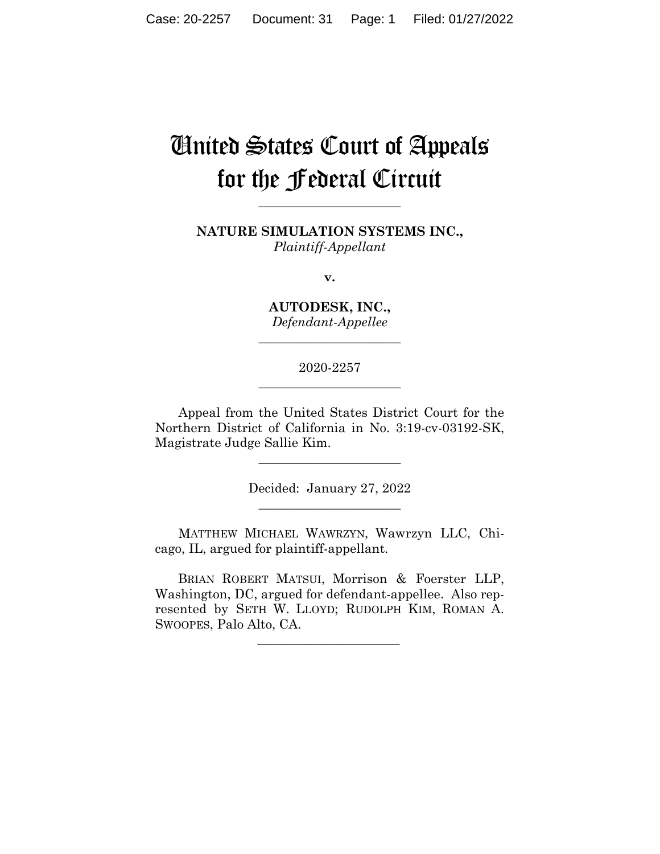# United States Court of Appeals for the Federal Circuit

**NATURE SIMULATION SYSTEMS INC.,** *Plaintiff-Appellant*

**\_\_\_\_\_\_\_\_\_\_\_\_\_\_\_\_\_\_\_\_\_\_** 

**v.**

**AUTODESK, INC.,** *Defendant-Appellee*

**\_\_\_\_\_\_\_\_\_\_\_\_\_\_\_\_\_\_\_\_\_\_** 

2020-2257 **\_\_\_\_\_\_\_\_\_\_\_\_\_\_\_\_\_\_\_\_\_\_** 

Appeal from the United States District Court for the Northern District of California in No. 3:19-cv-03192-SK, Magistrate Judge Sallie Kim.

> Decided: January 27, 2022  $\overline{\phantom{a}}$  , where  $\overline{\phantom{a}}$  , where  $\overline{\phantom{a}}$  , where  $\overline{\phantom{a}}$

 $\overline{\phantom{a}}$  , where  $\overline{\phantom{a}}$  , where  $\overline{\phantom{a}}$  , where  $\overline{\phantom{a}}$ 

MATTHEW MICHAEL WAWRZYN, Wawrzyn LLC, Chicago, IL, argued for plaintiff-appellant.

 BRIAN ROBERT MATSUI, Morrison & Foerster LLP, Washington, DC, argued for defendant-appellee. Also represented by SETH W. LLOYD; RUDOLPH KIM, ROMAN A. SWOOPES, Palo Alto, CA.

 $\mathcal{L}_\text{max}$  and  $\mathcal{L}_\text{max}$  and  $\mathcal{L}_\text{max}$  and  $\mathcal{L}_\text{max}$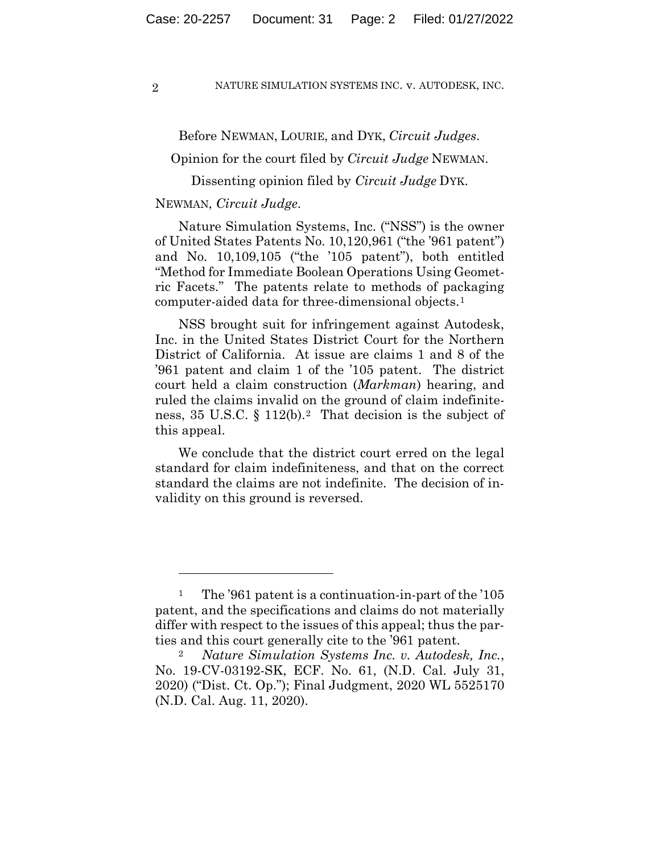Before NEWMAN, LOURIE, and DYK, *Circuit Judges*.

Opinion for the court filed by *Circuit Judge* NEWMAN.

Dissenting opinion filed by *Circuit Judge* DYK.

## NEWMAN, *Circuit Judge*.

Nature Simulation Systems, Inc. ("NSS") is the owner of United States Patents No. 10,120,961 ("the '961 patent") and No. 10,109,105 ("the '105 patent"), both entitled "Method for Immediate Boolean Operations Using Geometric Facets." The patents relate to methods of packaging computer-aided data for three-dimensional objects.1

NSS brought suit for infringement against Autodesk, Inc. in the United States District Court for the Northern District of California. At issue are claims 1 and 8 of the '961 patent and claim 1 of the '105 patent. The district court held a claim construction (*Markman*) hearing, and ruled the claims invalid on the ground of claim indefiniteness, 35 U.S.C. § 112(b).2 That decision is the subject of this appeal.

We conclude that the district court erred on the legal standard for claim indefiniteness, and that on the correct standard the claims are not indefinite. The decision of invalidity on this ground is reversed.

<sup>1</sup> The '961 patent is a continuation-in-part of the '105 patent, and the specifications and claims do not materially differ with respect to the issues of this appeal; thus the parties and this court generally cite to the '961 patent.

<sup>2</sup> *Nature Simulation Systems Inc. v. Autodesk, Inc.*, No. 19-CV-03192-SK, ECF. No. 61, (N.D. Cal. July 31, 2020) ("Dist. Ct. Op."); Final Judgment, 2020 WL 5525170 (N.D. Cal. Aug. 11, 2020).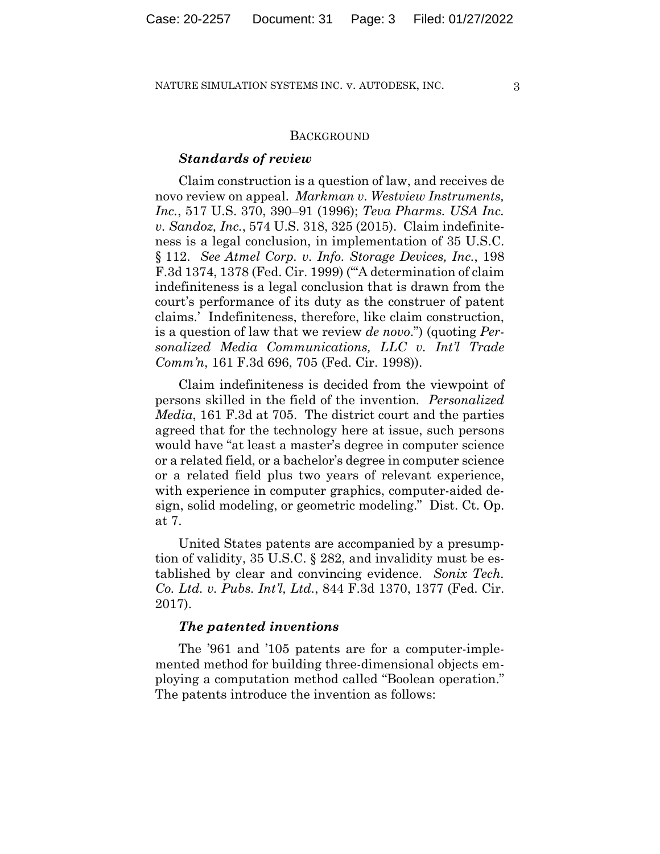### **BACKGROUND**

### *Standards of review*

Claim construction is a question of law, and receives de novo review on appeal. *Markman v. Westview Instruments, Inc.*, 517 U.S. 370, 390–91 (1996); *Teva Pharms. USA Inc. v. Sandoz, Inc.*, 574 U.S. 318, 325 (2015). Claim indefiniteness is a legal conclusion, in implementation of 35 U.S.C. § 112. *See Atmel Corp. v. Info. Storage Devices, Inc.*, 198 F.3d 1374, 1378 (Fed. Cir. 1999) ("'A determination of claim indefiniteness is a legal conclusion that is drawn from the court's performance of its duty as the construer of patent claims.' Indefiniteness, therefore, like claim construction, is a question of law that we review *de novo*.") (quoting *Personalized Media Communications, LLC v. Int'l Trade Comm'n*, 161 F.3d 696, 705 (Fed. Cir. 1998)).

Claim indefiniteness is decided from the viewpoint of persons skilled in the field of the invention*. Personalized Media*, 161 F.3d at 705. The district court and the parties agreed that for the technology here at issue, such persons would have "at least a master's degree in computer science or a related field, or a bachelor's degree in computer science or a related field plus two years of relevant experience, with experience in computer graphics, computer-aided design, solid modeling, or geometric modeling." Dist. Ct. Op. at 7.

United States patents are accompanied by a presumption of validity, 35 U.S.C. § 282, and invalidity must be established by clear and convincing evidence. *Sonix Tech. Co. Ltd. v. Pubs. Int'l, Ltd.*, 844 F.3d 1370, 1377 (Fed. Cir. 2017).

## *The patented inventions*

The '961 and '105 patents are for a computer-implemented method for building three-dimensional objects employing a computation method called "Boolean operation." The patents introduce the invention as follows: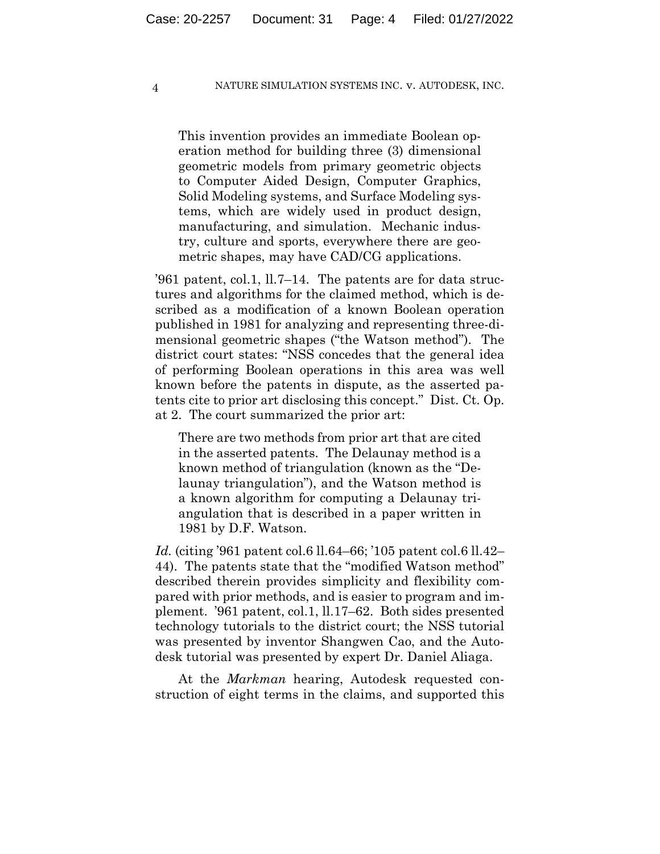This invention provides an immediate Boolean operation method for building three (3) dimensional geometric models from primary geometric objects to Computer Aided Design, Computer Graphics, Solid Modeling systems, and Surface Modeling systems, which are widely used in product design, manufacturing, and simulation. Mechanic industry, culture and sports, everywhere there are geometric shapes, may have CAD/CG applications.

'961 patent, col.1, ll.7–14. The patents are for data structures and algorithms for the claimed method, which is described as a modification of a known Boolean operation published in 1981 for analyzing and representing three-dimensional geometric shapes ("the Watson method"). The district court states: "NSS concedes that the general idea of performing Boolean operations in this area was well known before the patents in dispute, as the asserted patents cite to prior art disclosing this concept." Dist. Ct. Op. at 2. The court summarized the prior art:

There are two methods from prior art that are cited in the asserted patents. The Delaunay method is a known method of triangulation (known as the "Delaunay triangulation"), and the Watson method is a known algorithm for computing a Delaunay triangulation that is described in a paper written in 1981 by D.F. Watson.

*Id.* (citing '961 patent col.6 ll.64–66; '105 patent col.6 ll.42– 44). The patents state that the "modified Watson method" described therein provides simplicity and flexibility compared with prior methods, and is easier to program and implement. '961 patent, col.1, ll.17–62. Both sides presented technology tutorials to the district court; the NSS tutorial was presented by inventor Shangwen Cao, and the Autodesk tutorial was presented by expert Dr. Daniel Aliaga.

At the *Markman* hearing, Autodesk requested construction of eight terms in the claims, and supported this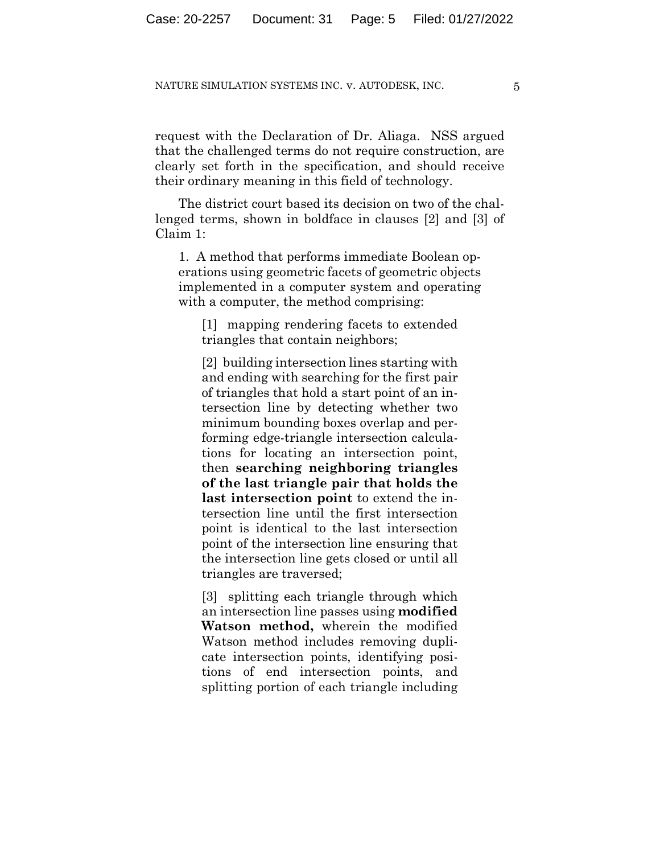request with the Declaration of Dr. Aliaga. NSS argued that the challenged terms do not require construction, are clearly set forth in the specification, and should receive their ordinary meaning in this field of technology.

The district court based its decision on two of the challenged terms, shown in boldface in clauses [2] and [3] of Claim 1:

1. A method that performs immediate Boolean operations using geometric facets of geometric objects implemented in a computer system and operating with a computer, the method comprising:

[1] mapping rendering facets to extended triangles that contain neighbors;

[2] building intersection lines starting with and ending with searching for the first pair of triangles that hold a start point of an intersection line by detecting whether two minimum bounding boxes overlap and performing edge-triangle intersection calculations for locating an intersection point, then **searching neighboring triangles of the last triangle pair that holds the last intersection point** to extend the intersection line until the first intersection point is identical to the last intersection point of the intersection line ensuring that the intersection line gets closed or until all triangles are traversed;

[3] splitting each triangle through which an intersection line passes using **modified Watson method,** wherein the modified Watson method includes removing duplicate intersection points, identifying positions of end intersection points, and splitting portion of each triangle including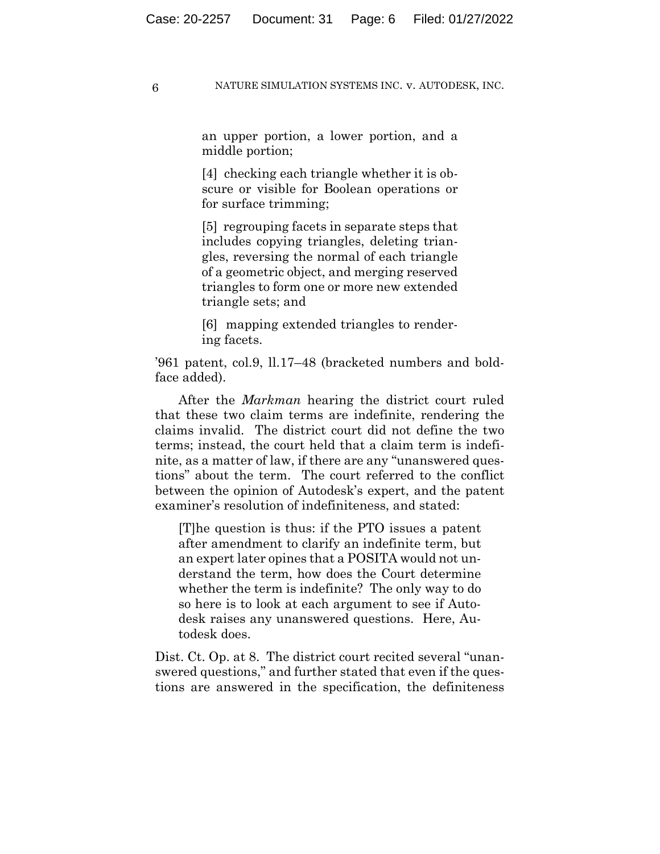an upper portion, a lower portion, and a middle portion;

[4] checking each triangle whether it is obscure or visible for Boolean operations or for surface trimming;

[5] regrouping facets in separate steps that includes copying triangles, deleting triangles, reversing the normal of each triangle of a geometric object, and merging reserved triangles to form one or more new extended triangle sets; and

[6] mapping extended triangles to rendering facets.

'961 patent, col.9, ll.17–48 (bracketed numbers and boldface added).

After the *Markman* hearing the district court ruled that these two claim terms are indefinite, rendering the claims invalid. The district court did not define the two terms; instead, the court held that a claim term is indefinite, as a matter of law, if there are any "unanswered questions" about the term. The court referred to the conflict between the opinion of Autodesk's expert, and the patent examiner's resolution of indefiniteness, and stated:

[T]he question is thus: if the PTO issues a patent after amendment to clarify an indefinite term, but an expert later opines that a POSITA would not understand the term, how does the Court determine whether the term is indefinite? The only way to do so here is to look at each argument to see if Autodesk raises any unanswered questions. Here, Autodesk does.

Dist. Ct. Op. at 8. The district court recited several "unanswered questions," and further stated that even if the questions are answered in the specification, the definiteness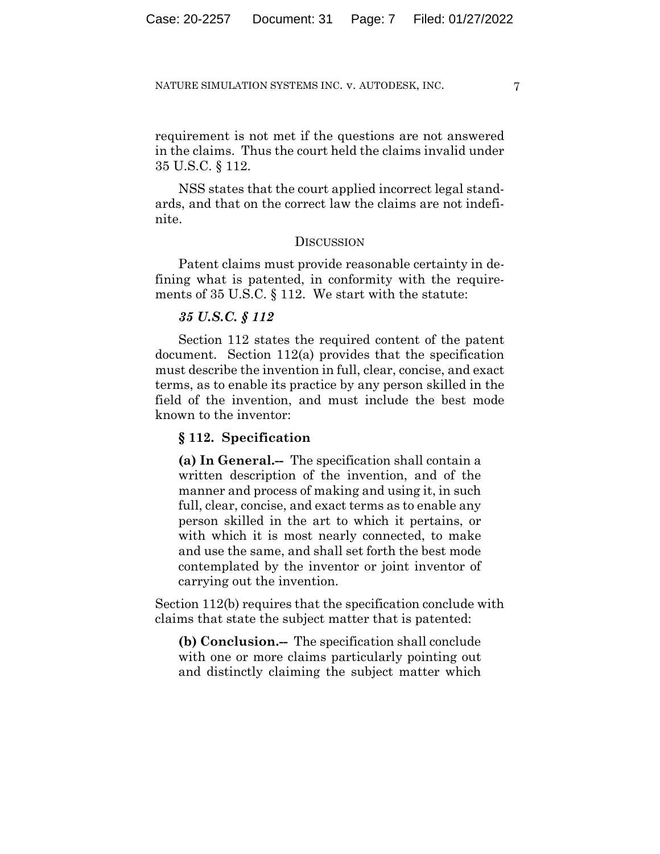requirement is not met if the questions are not answered in the claims. Thus the court held the claims invalid under 35 U.S.C. § 112.

NSS states that the court applied incorrect legal standards, and that on the correct law the claims are not indefinite.

## **DISCUSSION**

Patent claims must provide reasonable certainty in defining what is patented, in conformity with the requirements of 35 U.S.C. § 112. We start with the statute:

## *35 U.S.C. § 112*

Section 112 states the required content of the patent document. Section 112(a) provides that the specification must describe the invention in full, clear, concise, and exact terms, as to enable its practice by any person skilled in the field of the invention, and must include the best mode known to the inventor:

## **§ 112. Specification**

**(a) In General.--** The specification shall contain a written description of the invention, and of the manner and process of making and using it, in such full, clear, concise, and exact terms as to enable any person skilled in the art to which it pertains, or with which it is most nearly connected, to make and use the same, and shall set forth the best mode contemplated by the inventor or joint inventor of carrying out the invention.

Section 112(b) requires that the specification conclude with claims that state the subject matter that is patented:

**(b) Conclusion.--** The specification shall conclude with one or more claims particularly pointing out and distinctly claiming the subject matter which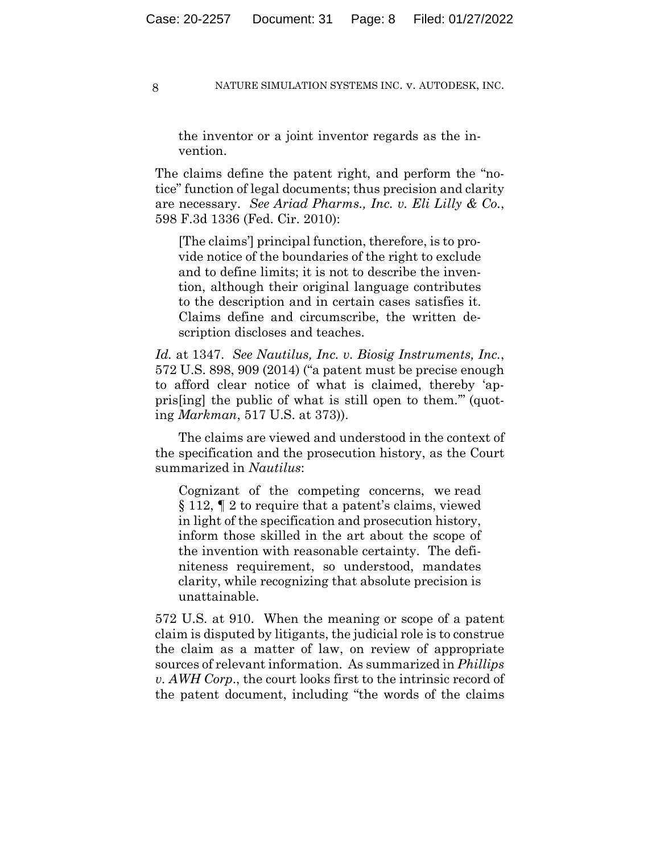the inventor or a joint inventor regards as the invention.

The claims define the patent right, and perform the "notice" function of legal documents; thus precision and clarity are necessary. *See Ariad Pharms., Inc. v. Eli Lilly & Co.*, 598 F.3d 1336 (Fed. Cir. 2010):

[The claims'] principal function, therefore, is to provide notice of the boundaries of the right to exclude and to define limits; it is not to describe the invention, although their original language contributes to the description and in certain cases satisfies it. Claims define and circumscribe, the written description discloses and teaches.

*Id.* at 1347. *See Nautilus, Inc. v. Biosig Instruments, Inc.*, 572 U.S. 898, 909 (2014) ("a patent must be precise enough to afford clear notice of what is claimed, thereby 'appris[ing] the public of what is still open to them.'" (quoting *Markman*, 517 U.S. at 373)).

The claims are viewed and understood in the context of the specification and the prosecution history, as the Court summarized in *Nautilus*:

Cognizant of the competing concerns, we read § 112, ¶ 2 to require that a patent's claims, viewed in light of the specification and prosecution history, inform those skilled in the art about the scope of the invention with reasonable certainty. The definiteness requirement, so understood, mandates clarity, while recognizing that absolute precision is unattainable.

572 U.S. at 910. When the meaning or scope of a patent claim is disputed by litigants, the judicial role is to construe the claim as a matter of law, on review of appropriate sources of relevant information. As summarized in *Phillips v. AWH Corp*., the court looks first to the intrinsic record of the patent document, including "the words of the claims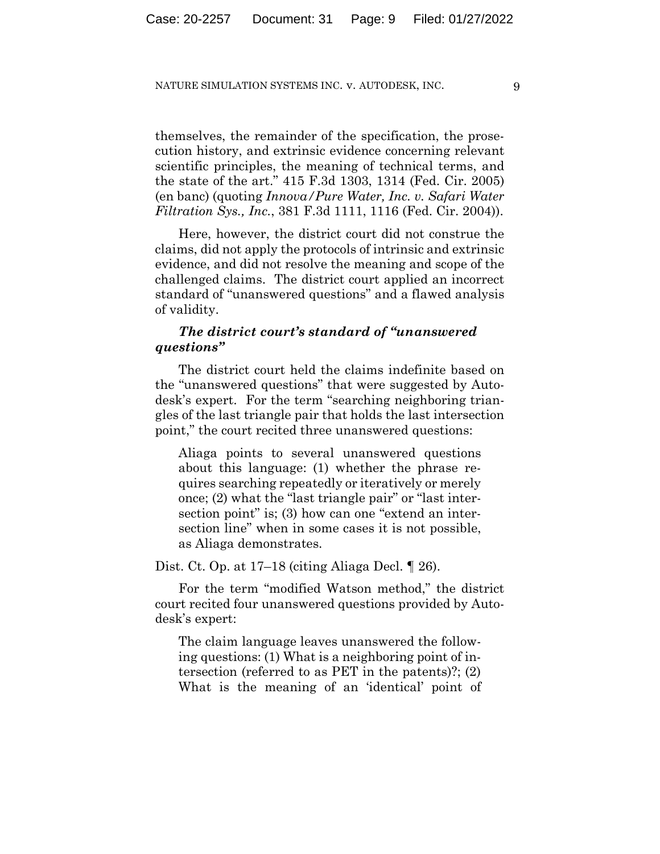themselves, the remainder of the specification, the prosecution history, and extrinsic evidence concerning relevant scientific principles, the meaning of technical terms, and the state of the art." 415 F.3d 1303, 1314 (Fed. Cir. 2005) (en banc) (quoting *Innova/Pure Water, Inc. v. Safari Water Filtration Sys., Inc.*, 381 F.3d 1111, 1116 (Fed. Cir. 2004)).

Here, however, the district court did not construe the claims, did not apply the protocols of intrinsic and extrinsic evidence, and did not resolve the meaning and scope of the challenged claims. The district court applied an incorrect standard of "unanswered questions" and a flawed analysis of validity.

# *The district court's standard of "unanswered questions"*

The district court held the claims indefinite based on the "unanswered questions" that were suggested by Autodesk's expert. For the term "searching neighboring triangles of the last triangle pair that holds the last intersection point," the court recited three unanswered questions:

Aliaga points to several unanswered questions about this language: (1) whether the phrase requires searching repeatedly or iteratively or merely once; (2) what the "last triangle pair" or "last intersection point" is; (3) how can one "extend an intersection line" when in some cases it is not possible, as Aliaga demonstrates.

Dist. Ct. Op. at 17–18 (citing Aliaga Decl. ¶ 26).

For the term "modified Watson method," the district court recited four unanswered questions provided by Autodesk's expert:

The claim language leaves unanswered the following questions: (1) What is a neighboring point of intersection (referred to as PET in the patents)?; (2) What is the meaning of an 'identical' point of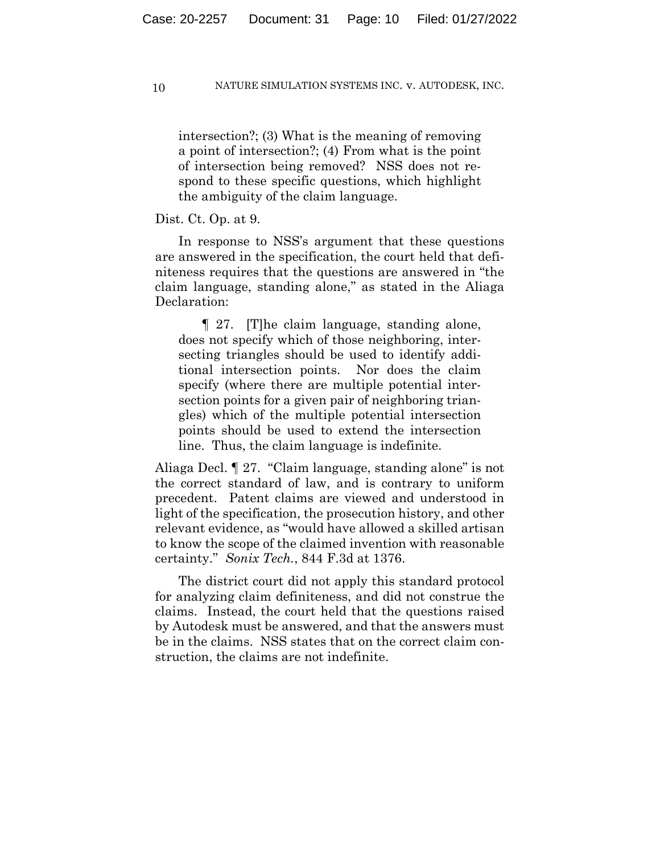intersection?; (3) What is the meaning of removing a point of intersection?; (4) From what is the point of intersection being removed? NSS does not respond to these specific questions, which highlight the ambiguity of the claim language.

## Dist. Ct. Op. at 9.

In response to NSS's argument that these questions are answered in the specification, the court held that definiteness requires that the questions are answered in "the claim language, standing alone," as stated in the Aliaga Declaration:

¶ 27. [T]he claim language, standing alone, does not specify which of those neighboring, intersecting triangles should be used to identify additional intersection points. Nor does the claim specify (where there are multiple potential intersection points for a given pair of neighboring triangles) which of the multiple potential intersection points should be used to extend the intersection line. Thus, the claim language is indefinite.

Aliaga Decl. ¶ 27. "Claim language, standing alone" is not the correct standard of law, and is contrary to uniform precedent. Patent claims are viewed and understood in light of the specification, the prosecution history, and other relevant evidence, as "would have allowed a skilled artisan to know the scope of the claimed invention with reasonable certainty." *Sonix Tech.*, 844 F.3d at 1376.

The district court did not apply this standard protocol for analyzing claim definiteness, and did not construe the claims. Instead, the court held that the questions raised by Autodesk must be answered, and that the answers must be in the claims. NSS states that on the correct claim construction, the claims are not indefinite.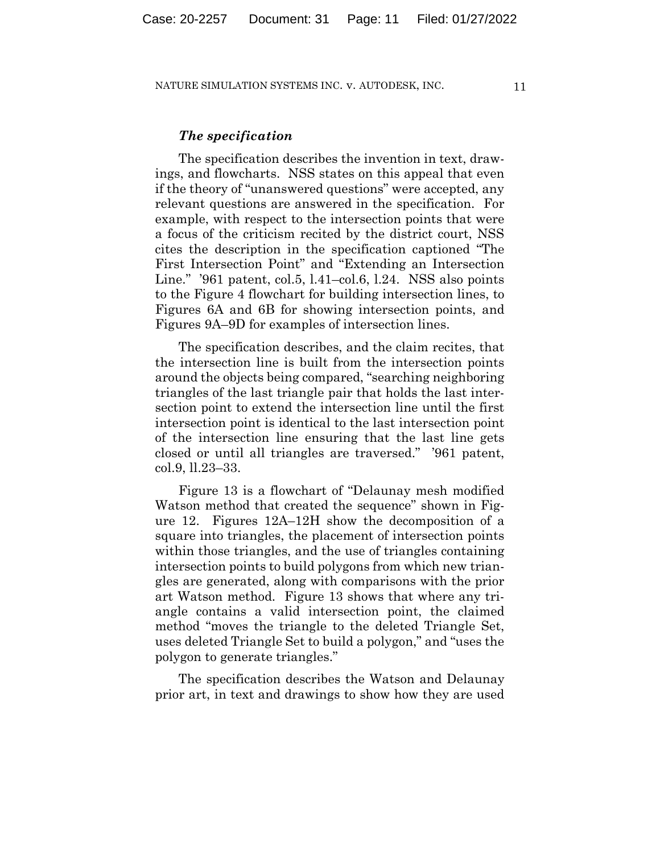## *The specification*

The specification describes the invention in text, drawings, and flowcharts. NSS states on this appeal that even if the theory of "unanswered questions" were accepted, any relevant questions are answered in the specification. For example, with respect to the intersection points that were a focus of the criticism recited by the district court, NSS cites the description in the specification captioned "The First Intersection Point" and "Extending an Intersection Line." '961 patent, col.5, l.41–col.6, l.24. NSS also points to the Figure 4 flowchart for building intersection lines, to Figures 6A and 6B for showing intersection points, and Figures 9A–9D for examples of intersection lines.

The specification describes, and the claim recites, that the intersection line is built from the intersection points around the objects being compared, "searching neighboring triangles of the last triangle pair that holds the last intersection point to extend the intersection line until the first intersection point is identical to the last intersection point of the intersection line ensuring that the last line gets closed or until all triangles are traversed." '961 patent, col.9, ll.23–33.

Figure 13 is a flowchart of "Delaunay mesh modified Watson method that created the sequence" shown in Figure 12. Figures 12A–12H show the decomposition of a square into triangles, the placement of intersection points within those triangles, and the use of triangles containing intersection points to build polygons from which new triangles are generated, along with comparisons with the prior art Watson method. Figure 13 shows that where any triangle contains a valid intersection point, the claimed method "moves the triangle to the deleted Triangle Set, uses deleted Triangle Set to build a polygon," and "uses the polygon to generate triangles."

The specification describes the Watson and Delaunay prior art, in text and drawings to show how they are used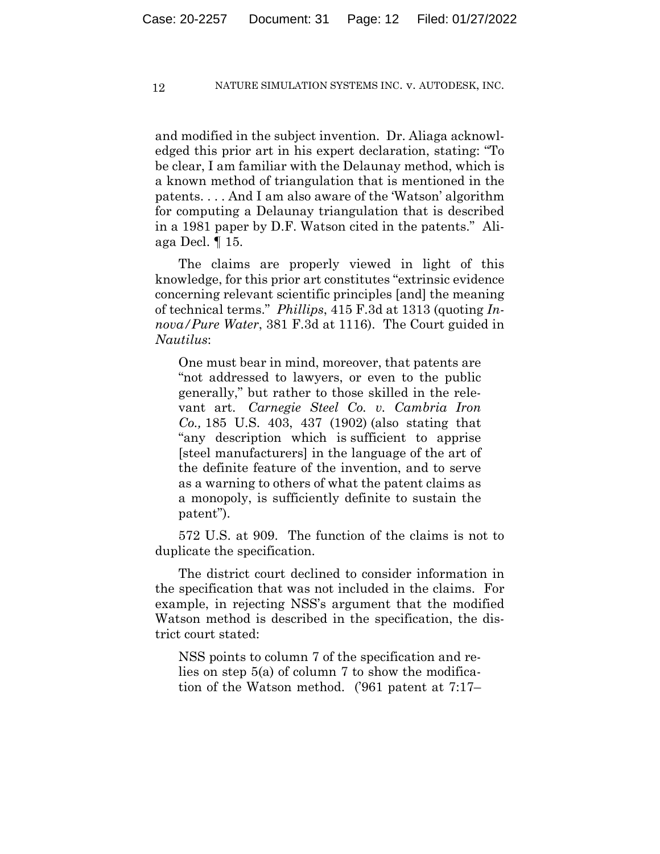and modified in the subject invention. Dr. Aliaga acknowledged this prior art in his expert declaration, stating: "To be clear, I am familiar with the Delaunay method, which is a known method of triangulation that is mentioned in the patents. . . . And I am also aware of the 'Watson' algorithm for computing a Delaunay triangulation that is described in a 1981 paper by D.F. Watson cited in the patents." Aliaga Decl. ¶ 15.

The claims are properly viewed in light of this knowledge, for this prior art constitutes "extrinsic evidence concerning relevant scientific principles [and] the meaning of technical terms." *Phillips*, 415 F.3d at 1313 (quoting *Innova/Pure Water*, 381 F.3d at 1116). The Court guided in *Nautilus*:

One must bear in mind, moreover, that patents are "not addressed to lawyers, or even to the public generally," but rather to those skilled in the relevant art. *Carnegie Steel Co. v. Cambria Iron Co.,* 185 U.S. 403, 437 (1902) (also stating that "any description which is sufficient to apprise [steel manufacturers] in the language of the art of the definite feature of the invention, and to serve as a warning to others of what the patent claims as a monopoly, is sufficiently definite to sustain the patent").

572 U.S. at 909. The function of the claims is not to duplicate the specification.

The district court declined to consider information in the specification that was not included in the claims. For example, in rejecting NSS's argument that the modified Watson method is described in the specification, the district court stated:

NSS points to column 7 of the specification and relies on step 5(a) of column 7 to show the modification of the Watson method. ('961 patent at 7:17–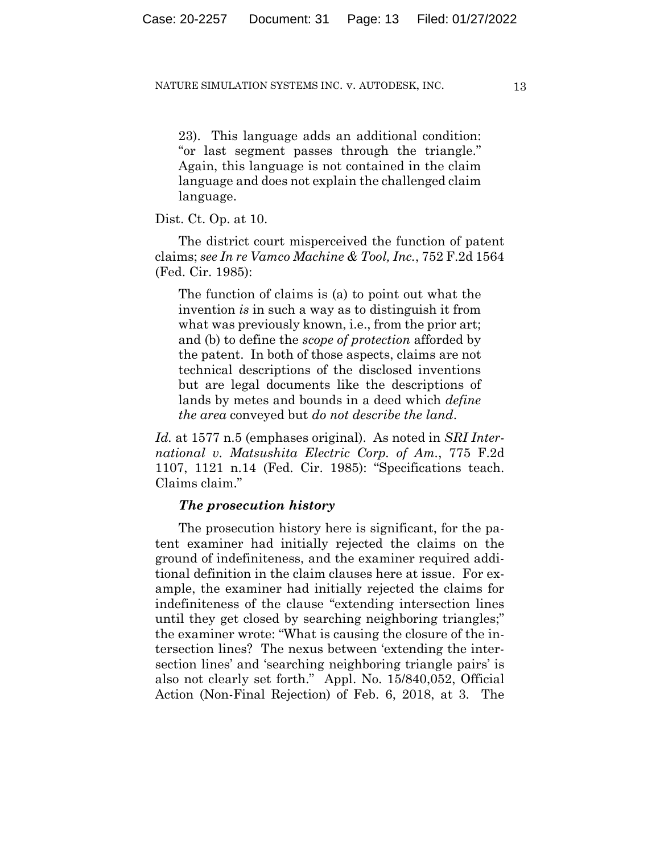23). This language adds an additional condition: "or last segment passes through the triangle." Again, this language is not contained in the claim language and does not explain the challenged claim language.

Dist. Ct. Op. at 10.

The district court misperceived the function of patent claims; *see In re Vamco Machine & Tool, Inc.*, 752 F.2d 1564 (Fed. Cir. 1985):

The function of claims is (a) to point out what the invention *is* in such a way as to distinguish it from what was previously known, i.e., from the prior art; and (b) to define the *scope of protection* afforded by the patent. In both of those aspects, claims are not technical descriptions of the disclosed inventions but are legal documents like the descriptions of lands by metes and bounds in a deed which *define the area* conveyed but *do not describe the land*.

*Id.* at 1577 n.5 (emphases original). As noted in *SRI International v. Matsushita Electric Corp. of Am.*, 775 F.2d 1107, 1121 n.14 (Fed. Cir. 1985): "Specifications teach. Claims claim."

## *The prosecution history*

The prosecution history here is significant, for the patent examiner had initially rejected the claims on the ground of indefiniteness, and the examiner required additional definition in the claim clauses here at issue. For example, the examiner had initially rejected the claims for indefiniteness of the clause "extending intersection lines until they get closed by searching neighboring triangles;" the examiner wrote: "What is causing the closure of the intersection lines? The nexus between 'extending the intersection lines' and 'searching neighboring triangle pairs' is also not clearly set forth." Appl. No. 15/840,052, Official Action (Non-Final Rejection) of Feb. 6, 2018, at 3. The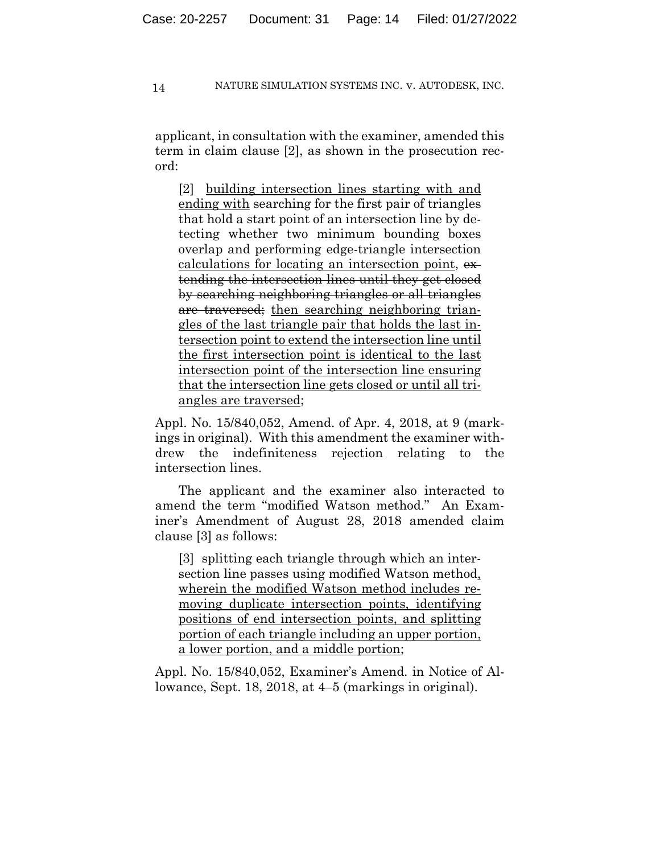applicant, in consultation with the examiner, amended this term in claim clause [2], as shown in the prosecution record:

[2] building intersection lines starting with and ending with searching for the first pair of triangles that hold a start point of an intersection line by detecting whether two minimum bounding boxes overlap and performing edge-triangle intersection calculations for locating an intersection point, ex tending the intersection lines until they get closed by searching neighboring triangles or all triangles are traversed; then searching neighboring triangles of the last triangle pair that holds the last intersection point to extend the intersection line until the first intersection point is identical to the last intersection point of the intersection line ensuring that the intersection line gets closed or until all triangles are traversed;

Appl. No. 15/840,052, Amend. of Apr. 4, 2018, at 9 (markings in original). With this amendment the examiner withdrew the indefiniteness rejection relating to the intersection lines.

The applicant and the examiner also interacted to amend the term "modified Watson method." An Examiner's Amendment of August 28, 2018 amended claim clause [3] as follows:

[3] splitting each triangle through which an intersection line passes using modified Watson method, wherein the modified Watson method includes removing duplicate intersection points, identifying positions of end intersection points, and splitting portion of each triangle including an upper portion, a lower portion, and a middle portion;

Appl. No. 15/840,052, Examiner's Amend. in Notice of Allowance, Sept. 18, 2018, at 4–5 (markings in original).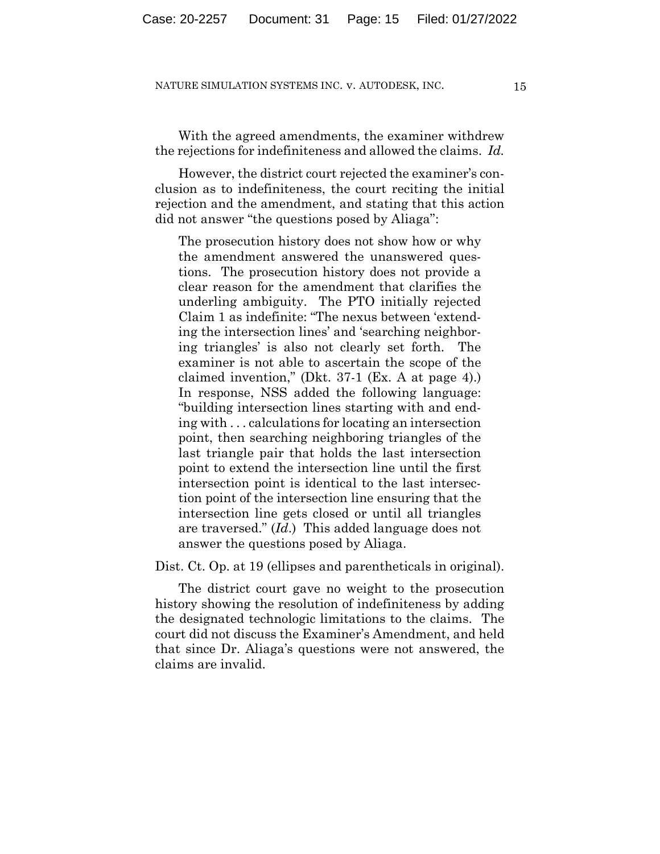With the agreed amendments, the examiner withdrew the rejections for indefiniteness and allowed the claims. *Id.*

However, the district court rejected the examiner's conclusion as to indefiniteness, the court reciting the initial rejection and the amendment, and stating that this action did not answer "the questions posed by Aliaga":

The prosecution history does not show how or why the amendment answered the unanswered questions. The prosecution history does not provide a clear reason for the amendment that clarifies the underling ambiguity. The PTO initially rejected Claim 1 as indefinite: "The nexus between 'extending the intersection lines' and 'searching neighboring triangles' is also not clearly set forth. The examiner is not able to ascertain the scope of the claimed invention," (Dkt. 37-1 (Ex. A at page 4).) In response, NSS added the following language: "building intersection lines starting with and ending with . . . calculations for locating an intersection point, then searching neighboring triangles of the last triangle pair that holds the last intersection point to extend the intersection line until the first intersection point is identical to the last intersection point of the intersection line ensuring that the intersection line gets closed or until all triangles are traversed." (*Id*.) This added language does not answer the questions posed by Aliaga.

Dist. Ct. Op. at 19 (ellipses and parentheticals in original).

The district court gave no weight to the prosecution history showing the resolution of indefiniteness by adding the designated technologic limitations to the claims. The court did not discuss the Examiner's Amendment, and held that since Dr. Aliaga's questions were not answered, the claims are invalid.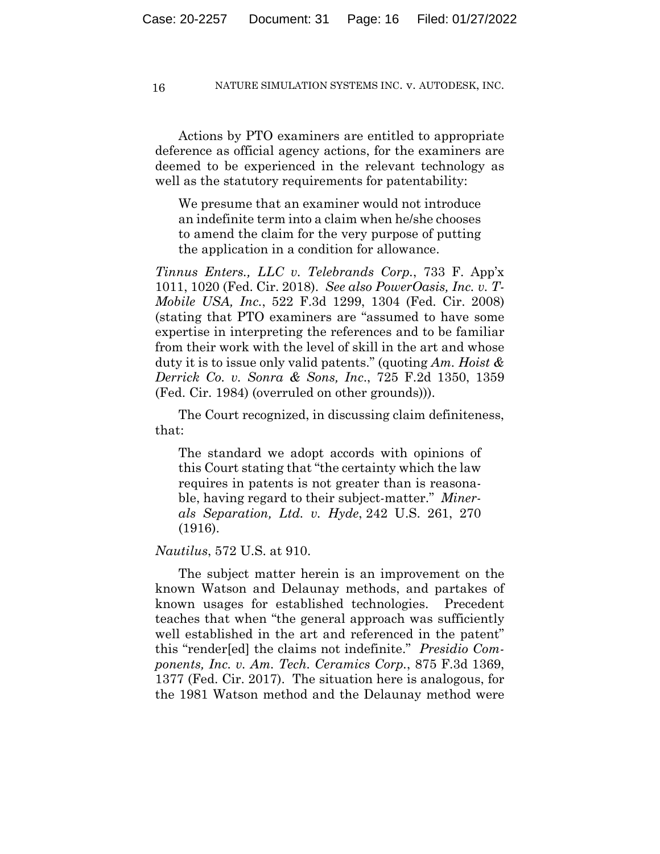Actions by PTO examiners are entitled to appropriate deference as official agency actions, for the examiners are deemed to be experienced in the relevant technology as well as the statutory requirements for patentability:

We presume that an examiner would not introduce an indefinite term into a claim when he/she chooses to amend the claim for the very purpose of putting the application in a condition for allowance.

*Tinnus Enters., LLC v. Telebrands Corp.*, 733 F. App'x 1011, 1020 (Fed. Cir. 2018). *See also PowerOasis, Inc. v. T-Mobile USA, Inc.*, 522 F.3d 1299, 1304 (Fed. Cir. 2008) (stating that PTO examiners are "assumed to have some expertise in interpreting the references and to be familiar from their work with the level of skill in the art and whose duty it is to issue only valid patents." (quoting *Am. Hoist & Derrick Co. v. Sonra & Sons, Inc*., 725 F.2d 1350, 1359 (Fed. Cir. 1984) (overruled on other grounds))).

The Court recognized, in discussing claim definiteness, that:

The standard we adopt accords with opinions of this Court stating that "the certainty which the law requires in patents is not greater than is reasonable, having regard to their subject-matter." *Minerals Separation, Ltd. v. Hyde*, 242 U.S. 261, 270 (1916).

*Nautilus*, 572 U.S. at 910.

The subject matter herein is an improvement on the known Watson and Delaunay methods, and partakes of known usages for established technologies. Precedent teaches that when "the general approach was sufficiently well established in the art and referenced in the patent" this "render[ed] the claims not indefinite." *Presidio Components, Inc. v. Am. Tech. Ceramics Corp.*, 875 F.3d 1369, 1377 (Fed. Cir. 2017). The situation here is analogous, for the 1981 Watson method and the Delaunay method were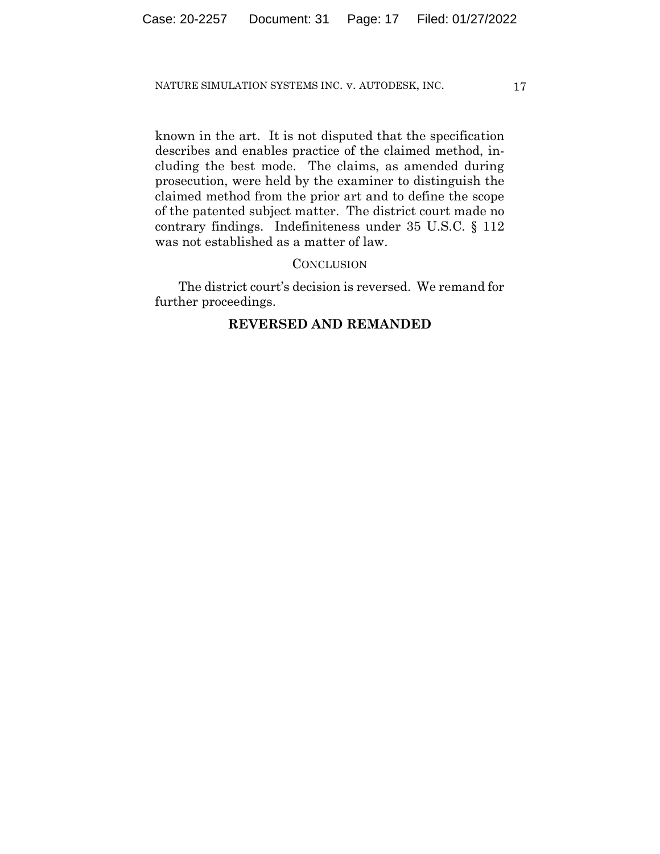known in the art. It is not disputed that the specification describes and enables practice of the claimed method, including the best mode. The claims, as amended during prosecution, were held by the examiner to distinguish the claimed method from the prior art and to define the scope of the patented subject matter. The district court made no contrary findings. Indefiniteness under 35 U.S.C. § 112 was not established as a matter of law.

## **CONCLUSION**

The district court's decision is reversed. We remand for further proceedings.

# **REVERSED AND REMANDED**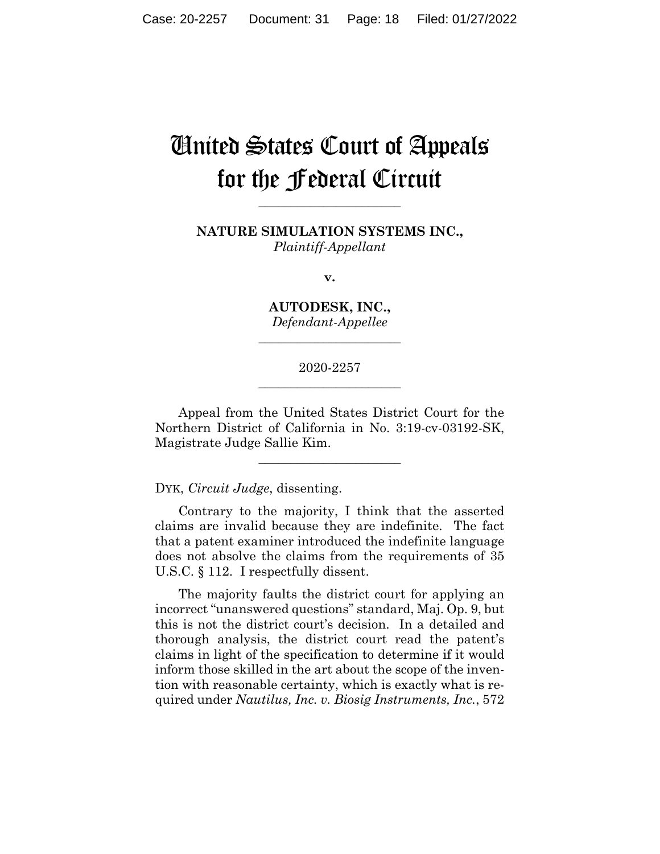# United States Court of Appeals for the Federal Circuit

**NATURE SIMULATION SYSTEMS INC.,** *Plaintiff-Appellant*

**\_\_\_\_\_\_\_\_\_\_\_\_\_\_\_\_\_\_\_\_\_\_** 

**v.**

**AUTODESK, INC.,** *Defendant-Appellee*

**\_\_\_\_\_\_\_\_\_\_\_\_\_\_\_\_\_\_\_\_\_\_** 

2020-2257 **\_\_\_\_\_\_\_\_\_\_\_\_\_\_\_\_\_\_\_\_\_\_** 

Appeal from the United States District Court for the Northern District of California in No. 3:19-cv-03192-SK, Magistrate Judge Sallie Kim.

 $\overline{\phantom{a}}$  , where  $\overline{\phantom{a}}$  , where  $\overline{\phantom{a}}$  , where  $\overline{\phantom{a}}$ 

DYK, *Circuit Judge*, dissenting.

Contrary to the majority, I think that the asserted claims are invalid because they are indefinite. The fact that a patent examiner introduced the indefinite language does not absolve the claims from the requirements of 35 U.S.C. § 112. I respectfully dissent.

The majority faults the district court for applying an incorrect "unanswered questions" standard, Maj. Op. 9, but this is not the district court's decision. In a detailed and thorough analysis, the district court read the patent's claims in light of the specification to determine if it would inform those skilled in the art about the scope of the invention with reasonable certainty, which is exactly what is required under *Nautilus, Inc. v. Biosig Instruments, Inc.*, 572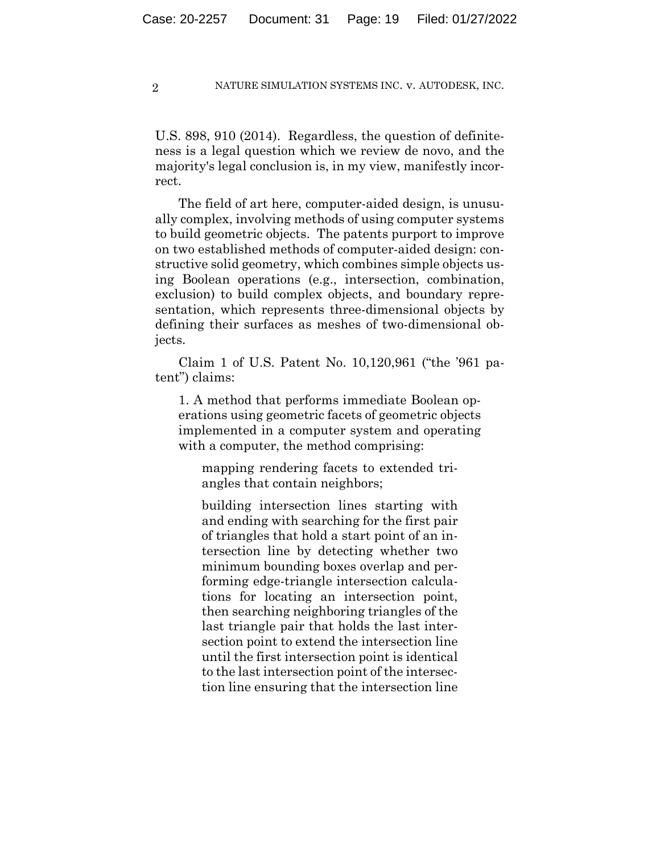U.S. 898, 910 (2014). Regardless, the question of definiteness is a legal question which we review de novo, and the majority's legal conclusion is, in my view, manifestly incorrect.

The field of art here, computer-aided design, is unusually complex, involving methods of using computer systems to build geometric objects. The patents purport to improve on two established methods of computer-aided design: constructive solid geometry, which combines simple objects using Boolean operations (e.g., intersection, combination, exclusion) to build complex objects, and boundary representation, which represents three-dimensional objects by defining their surfaces as meshes of two-dimensional objects.

Claim 1 of U.S. Patent No. 10,120,961 ("the '961 patent") claims:

1. A method that performs immediate Boolean operations using geometric facets of geometric objects implemented in a computer system and operating with a computer, the method comprising:

mapping rendering facets to extended triangles that contain neighbors;

building intersection lines starting with and ending with searching for the first pair of triangles that hold a start point of an intersection line by detecting whether two minimum bounding boxes overlap and performing edge-triangle intersection calculations for locating an intersection point, then searching neighboring triangles of the last triangle pair that holds the last intersection point to extend the intersection line until the first intersection point is identical to the last intersection point of the intersection line ensuring that the intersection line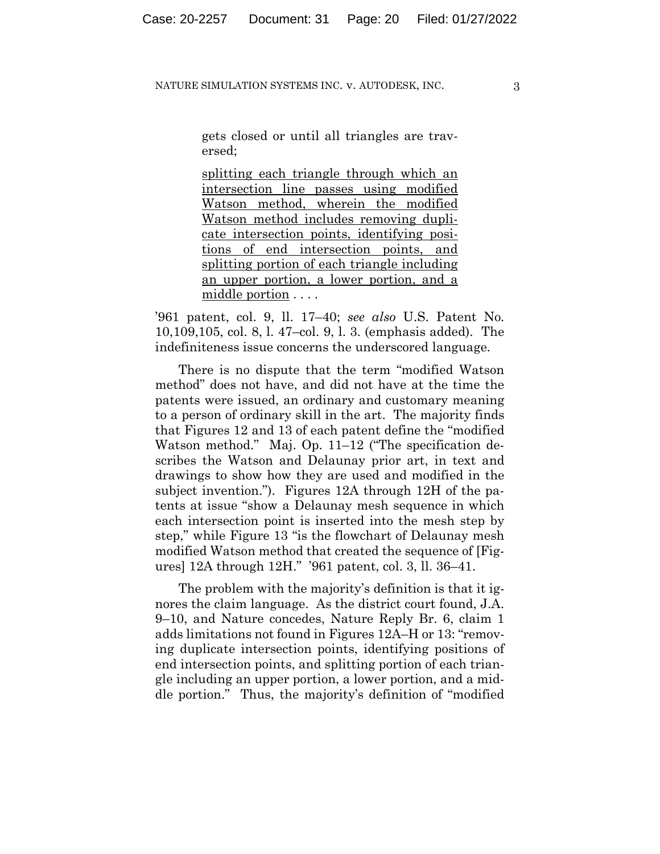gets closed or until all triangles are traversed;

splitting each triangle through which an intersection line passes using modified Watson method, wherein the modified Watson method includes removing duplicate intersection points, identifying positions of end intersection points, and splitting portion of each triangle including an upper portion, a lower portion, and a middle portion . . . .

'961 patent, col. 9, ll. 17–40; *see also* U.S. Patent No. 10,109,105, col. 8, l. 47–col. 9, l. 3. (emphasis added). The indefiniteness issue concerns the underscored language.

There is no dispute that the term "modified Watson method" does not have, and did not have at the time the patents were issued, an ordinary and customary meaning to a person of ordinary skill in the art. The majority finds that Figures 12 and 13 of each patent define the "modified Watson method." Maj. Op. 11–12 ("The specification describes the Watson and Delaunay prior art, in text and drawings to show how they are used and modified in the subject invention."). Figures 12A through 12H of the patents at issue "show a Delaunay mesh sequence in which each intersection point is inserted into the mesh step by step," while Figure 13 "is the flowchart of Delaunay mesh modified Watson method that created the sequence of [Figures] 12A through 12H." '961 patent, col. 3, ll. 36–41.

The problem with the majority's definition is that it ignores the claim language. As the district court found, J.A. 9–10, and Nature concedes, Nature Reply Br. 6, claim 1 adds limitations not found in Figures 12A–H or 13: "removing duplicate intersection points, identifying positions of end intersection points, and splitting portion of each triangle including an upper portion, a lower portion, and a middle portion." Thus, the majority's definition of "modified